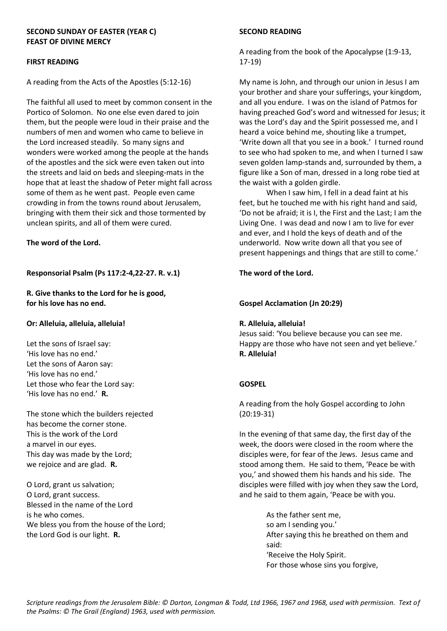### **SECOND SUNDAY OF EASTER (YEAR C) FEAST OF DIVINE MERCY**

### **FIRST READING**

A reading from the Acts of the Apostles (5:12-16)

The faithful all used to meet by common consent in the Portico of Solomon. No one else even dared to join them, but the people were loud in their praise and the numbers of men and women who came to believe in the Lord increased steadily. So many signs and wonders were worked among the people at the hands of the apostles and the sick were even taken out into the streets and laid on beds and sleeping-mats in the hope that at least the shadow of Peter might fall across some of them as he went past. People even came crowding in from the towns round about Jerusalem, bringing with them their sick and those tormented by unclean spirits, and all of them were cured.

**The word of the Lord.**

# **Responsorial Psalm (Ps 117:2-4,22-27. R. v.1)**

**R. Give thanks to the Lord for he is good, for his love has no end.**

#### **Or: Alleluia, alleluia, alleluia!**

Let the sons of Israel say: 'His love has no end.' Let the sons of Aaron say: 'His love has no end.' Let those who fear the Lord say: 'His love has no end.' **R.**

The stone which the builders rejected has become the corner stone. This is the work of the Lord a marvel in our eyes. This day was made by the Lord; we rejoice and are glad. **R.**

O Lord, grant us salvation; O Lord, grant success. Blessed in the name of the Lord is he who comes. We bless you from the house of the Lord; the Lord God is our light. **R.**

### **SECOND READING**

A reading from the book of the Apocalypse (1:9-13, 17-19)

My name is John, and through our union in Jesus I am your brother and share your sufferings, your kingdom, and all you endure. I was on the island of Patmos for having preached God's word and witnessed for Jesus; it was the Lord's day and the Spirit possessed me, and I heard a voice behind me, shouting like a trumpet, 'Write down all that you see in a book.' I turned round to see who had spoken to me, and when I turned I saw seven golden lamp-stands and, surrounded by them, a figure like a Son of man, dressed in a long robe tied at the waist with a golden girdle.

When I saw him, I fell in a dead faint at his feet, but he touched me with his right hand and said, 'Do not be afraid; it is I, the First and the Last; I am the Living One. I was dead and now I am to live for ever and ever, and I hold the keys of death and of the underworld. Now write down all that you see of present happenings and things that are still to come.'

## **The word of the Lord.**

## **Gospel Acclamation (Jn 20:29)**

#### **R. Alleluia, alleluia!**

Jesus said: 'You believe because you can see me. Happy are those who have not seen and yet believe.' **R. Alleluia!**

# **GOSPEL**

A reading from the holy Gospel according to John (20:19-31)

In the evening of that same day, the first day of the week, the doors were closed in the room where the disciples were, for fear of the Jews. Jesus came and stood among them. He said to them, 'Peace be with you,' and showed them his hands and his side. The disciples were filled with joy when they saw the Lord, and he said to them again, 'Peace be with you.

> As the father sent me, so am I sending you.' After saying this he breathed on them and said: 'Receive the Holy Spirit. For those whose sins you forgive,